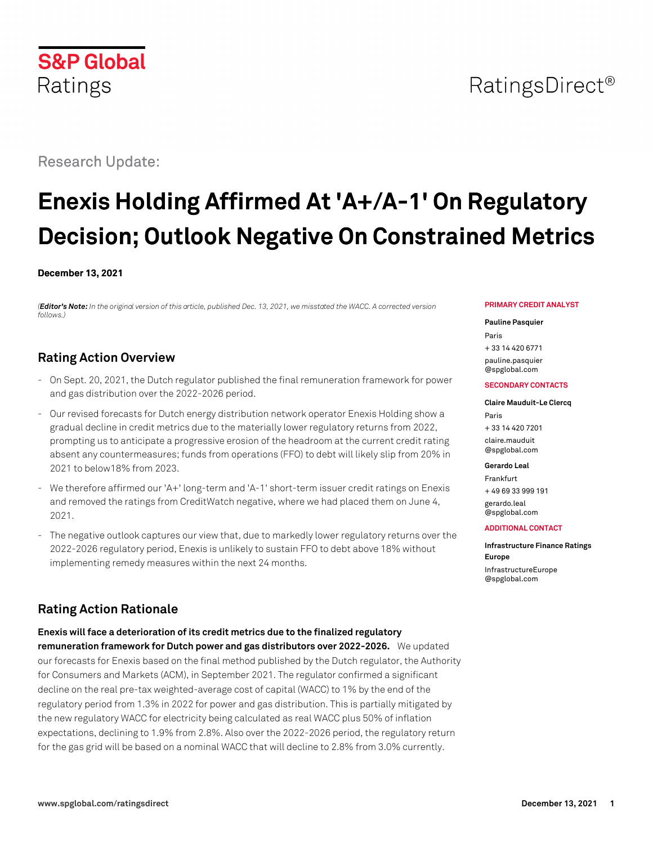# Research Update:

**S&P Global** 

Ratings

# **Enexis Holding Affirmed At 'A+/A-1' On Regulatory Decision; Outlook Negative On Constrained Metrics**

#### **December 13, 2021**

*(Editor's Note: In the original version of this article, published Dec. 13, 2021, we misstated the WACC. A corrected version follows.)*

# **Rating Action Overview**

- On Sept. 20, 2021, the Dutch regulator published the final remuneration framework for power and gas distribution over the 2022-2026 period.
- Our revised forecasts for Dutch energy distribution network operator Enexis Holding show a gradual decline in credit metrics due to the materially lower regulatory returns from 2022, prompting us to anticipate a progressive erosion of the headroom at the current credit rating absent any countermeasures; funds from operations (FFO) to debt will likely slip from 20% in 2021 to below18% from 2023.
- We therefore affirmed our 'A+' long-term and 'A-1' short-term issuer credit ratings on Enexis and removed the ratings from CreditWatch negative, where we had placed them on June 4, 2021.
- The negative outlook captures our view that, due to markedly lower regulatory returns over the 2022-2026 regulatory period, Enexis is unlikely to sustain FFO to debt above 18% without implementing remedy measures within the next 24 months.

# **Rating Action Rationale**

**Enexis will face a deterioration of its credit metrics due to the finalized regulatory remuneration framework for Dutch power and gas distributors over 2022-2026.** We updated our forecasts for Enexis based on the final method published by the Dutch regulator, the Authority for Consumers and Markets (ACM), in September 2021. The regulator confirmed a significant decline on the real pre-tax weighted-average cost of capital (WACC) to 1% by the end of the regulatory period from 1.3% in 2022 for power and gas distribution. This is partially mitigated by the new regulatory WACC for electricity being calculated as real WACC plus 50% of inflation expectations, declining to 1.9% from 2.8%. Also over the 2022-2026 period, the regulatory return for the gas grid will be based on a nominal WACC that will decline to 2.8% from 3.0% currently.

#### **PRIMARY CREDIT ANALYST**

#### **Pauline Pasquier**

Paris + 33 14 420 6771 [pauline.pasquier](mailto:pauline.pasquier@spglobal.com) [@spglobal.com](mailto:pauline.pasquier@spglobal.com)

#### **SECONDARY CONTACTS**

#### **Claire Mauduit-Le Clercq** Paris

+ 33 14 420 7201 [claire.mauduit](mailto:claire.mauduit@spglobal.com) [@spglobal.com](mailto:claire.mauduit@spglobal.com)

#### **Gerardo Leal**

Frankfurt + 49 69 33 999 191 [gerardo.leal](mailto:gerardo.leal@spglobal.com) [@spglobal.com](mailto:gerardo.leal@spglobal.com)

#### **ADDITIONAL CONTACT**

**Infrastructure Finance Ratings Europe** [InfrastructureEurope](mailto:InfrastructureEurope@spglobal.com) [@spglobal.com](mailto:InfrastructureEurope@spglobal.com)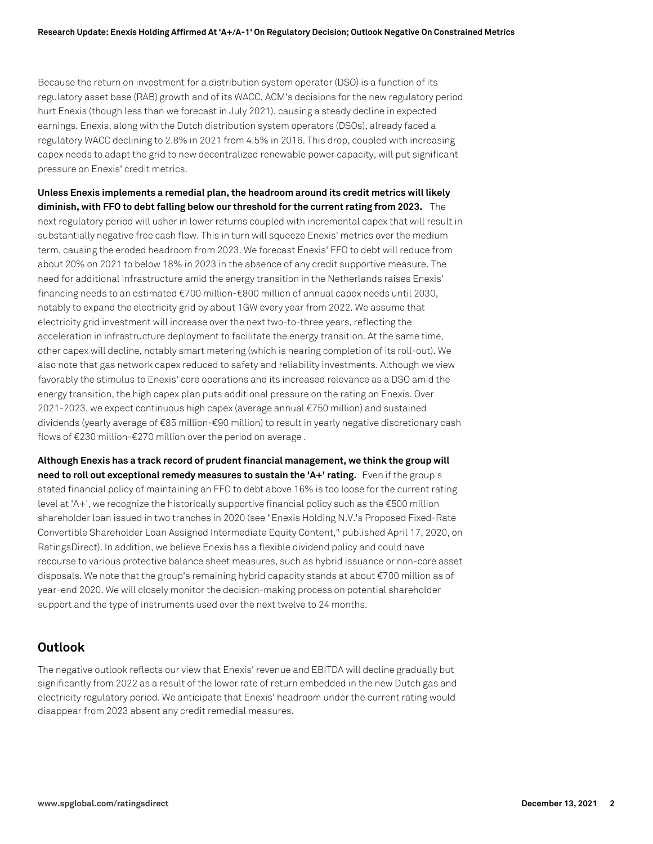Because the return on investment for a distribution system operator (DSO) is a function of its regulatory asset base (RAB) growth and of its WACC, ACM's decisions for the new regulatory period hurt Enexis (though less than we forecast in July 2021), causing a steady decline in expected earnings. Enexis, along with the Dutch distribution system operators (DSOs), already faced a regulatory WACC declining to 2.8% in 2021 from 4.5% in 2016. This drop, coupled with increasing capex needs to adapt the grid to new decentralized renewable power capacity, will put significant pressure on Enexis' credit metrics.

**Unless Enexis implements a remedial plan, the headroom around its credit metrics will likely diminish, with FFO to debt falling below our threshold for the current rating from 2023.** The next regulatory period will usher in lower returns coupled with incremental capex that will result in substantially negative free cash flow. This in turn will squeeze Enexis' metrics over the medium term, causing the eroded headroom from 2023. We forecast Enexis' FFO to debt will reduce from about 20% on 2021 to below 18% in 2023 in the absence of any credit supportive measure. The need for additional infrastructure amid the energy transition in the Netherlands raises Enexis' financing needs to an estimated €700 million-€800 million of annual capex needs until 2030, notably to expand the electricity grid by about 1GW every year from 2022. We assume that electricity grid investment will increase over the next two-to-three years, reflecting the acceleration in infrastructure deployment to facilitate the energy transition. At the same time, other capex will decline, notably smart metering (which is nearing completion of its roll-out). We also note that gas network capex reduced to safety and reliability investments. Although we view favorably the stimulus to Enexis' core operations and its increased relevance as a DSO amid the energy transition, the high capex plan puts additional pressure on the rating on Enexis. Over 2021-2023, we expect continuous high capex (average annual €750 million) and sustained dividends (yearly average of €85 million-€90 million) to result in yearly negative discretionary cash flows of €230 million-€270 million over the period on average .

**Although Enexis has a track record of prudent financial management, we think the group will need to roll out exceptional remedy measures to sustain the 'A+' rating.** Even if the group's stated financial policy of maintaining an FFO to debt above 16% is too loose for the current rating level at 'A+', we recognize the historically supportive financial policy such as the €500 million shareholder loan issued in two tranches in 2020 (see "Enexis Holding N.V.'s Proposed Fixed-Rate Convertible Shareholder Loan Assigned Intermediate Equity Content," published April 17, 2020, on RatingsDirect). In addition, we believe Enexis has a flexible dividend policy and could have recourse to various protective balance sheet measures, such as hybrid issuance or non-core asset disposals. We note that the group's remaining hybrid capacity stands at about €700 million as of year-end 2020. We will closely monitor the decision-making process on potential shareholder support and the type of instruments used over the next twelve to 24 months.

# **Outlook**

The negative outlook reflects our view that Enexis' revenue and EBITDA will decline gradually but significantly from 2022 as a result of the lower rate of return embedded in the new Dutch gas and electricity regulatory period. We anticipate that Enexis' headroom under the current rating would disappear from 2023 absent any credit remedial measures.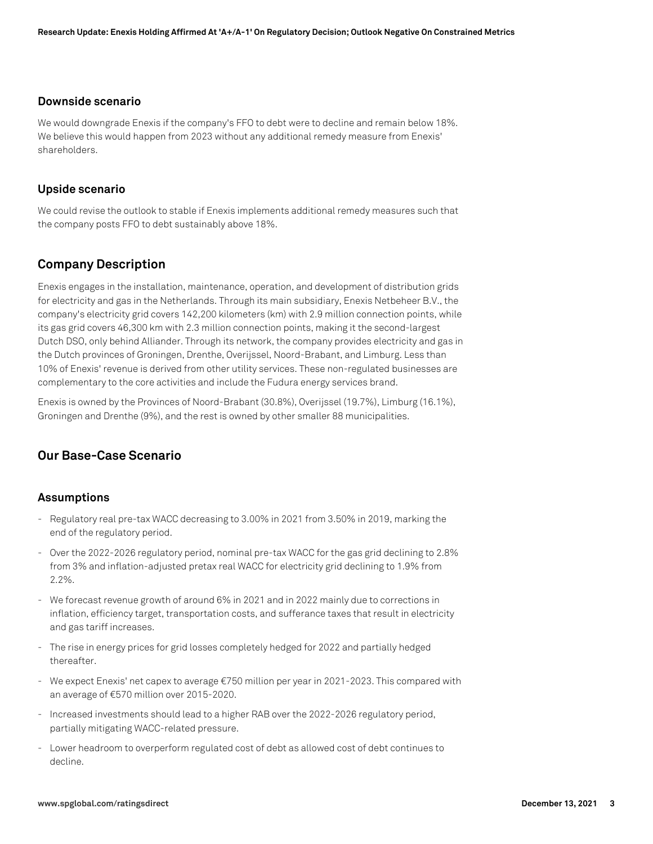#### **Downside scenario**

We would downgrade Enexis if the company's FFO to debt were to decline and remain below 18%. We believe this would happen from 2023 without any additional remedy measure from Enexis' shareholders.

#### **Upside scenario**

We could revise the outlook to stable if Enexis implements additional remedy measures such that the company posts FFO to debt sustainably above 18%.

# **Company Description**

Enexis engages in the installation, maintenance, operation, and development of distribution grids for electricity and gas in the Netherlands. Through its main subsidiary, Enexis Netbeheer B.V., the company's electricity grid covers 142,200 kilometers (km) with 2.9 million connection points, while its gas grid covers 46,300 km with 2.3 million connection points, making it the second-largest Dutch DSO, only behind Alliander. Through its network, the company provides electricity and gas in the Dutch provinces of Groningen, Drenthe, Overijssel, Noord-Brabant, and Limburg. Less than 10% of Enexis' revenue is derived from other utility services. These non-regulated businesses are complementary to the core activities and include the Fudura energy services brand.

Enexis is owned by the Provinces of Noord-Brabant (30.8%), Overijssel (19.7%), Limburg (16.1%), Groningen and Drenthe (9%), and the rest is owned by other smaller 88 municipalities.

# **Our Base-Case Scenario**

#### **Assumptions**

- Regulatory real pre-tax WACC decreasing to 3.00% in 2021 from 3.50% in 2019, marking the end of the regulatory period.
- Over the 2022-2026 regulatory period, nominal pre-tax WACC for the gas grid declining to 2.8% from 3% and inflation-adjusted pretax real WACC for electricity grid declining to 1.9% from 2.2%.
- We forecast revenue growth of around 6% in 2021 and in 2022 mainly due to corrections in inflation, efficiency target, transportation costs, and sufferance taxes that result in electricity and gas tariff increases.
- The rise in energy prices for grid losses completely hedged for 2022 and partially hedged thereafter.
- We expect Enexis' net capex to average €750 million per year in 2021-2023. This compared with an average of €570 million over 2015-2020.
- Increased investments should lead to a higher RAB over the 2022-2026 regulatory period, partially mitigating WACC-related pressure.
- Lower headroom to overperform regulated cost of debt as allowed cost of debt continues to decline.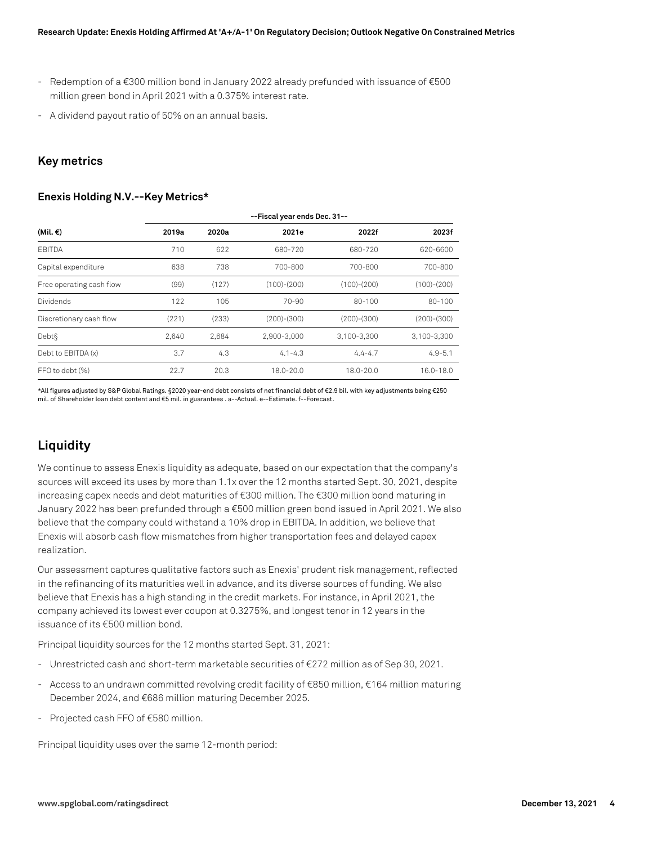- Redemption of a €300 million bond in January 2022 already prefunded with issuance of €500 million green bond in April 2021 with a 0.375% interest rate.
- A dividend payout ratio of 50% on an annual basis.

#### **Key metrics**

#### **Enexis Holding N.V.--Key Metrics\***

|                          | --Fiscal year ends Dec. 31-- |       |               |               |               |
|--------------------------|------------------------------|-------|---------------|---------------|---------------|
| (Mil. €)                 | 2019a                        | 2020a | 2021e         | 2022f         | 2023f         |
| <b>FBITDA</b>            | 710                          | 622   | 680-720       | 680-720       | 620-6600      |
| Capital expenditure      | 638                          | 738   | 700-800       | 700-800       | 700-800       |
| Free operating cash flow | (99)                         | (127) | $(100)-(200)$ | $(100)-(200)$ | $(100)-(200)$ |
| <b>Dividends</b>         | 122                          | 105   | $70 - 90$     | 80-100        | $80 - 100$    |
| Discretionary cash flow  | (221)                        | (233) | $(200)-(300)$ | $(200)-(300)$ | $(200)-(300)$ |
| Debt§                    | 2.640                        | 2,684 | 2,900-3,000   | 3,100-3,300   | 3,100-3,300   |
| Debt to EBITDA (x)       | 3.7                          | 4.3   | $4.1 - 4.3$   | $4.4 - 4.7$   | $4.9 - 5.1$   |
| FFO to debt (%)          | 22.7                         | 20.3  | 18.0-20.0     | 18.0-20.0     | 16.0-18.0     |

\*All figures adjusted by S&P Global Ratings. §2020 year-end debt consists of net financial debt of €2.9 bil. with key adjustments being €250 mil. of Shareholder loan debt content and €5 mil. in guarantees . a--Actual. e--Estimate. f--Forecast.

# **Liquidity**

We continue to assess Enexis liquidity as adequate, based on our expectation that the company's sources will exceed its uses by more than 1.1x over the 12 months started Sept. 30, 2021, despite increasing capex needs and debt maturities of €300 million. The €300 million bond maturing in January 2022 has been prefunded through a €500 million green bond issued in April 2021. We also believe that the company could withstand a 10% drop in EBITDA. In addition, we believe that Enexis will absorb cash flow mismatches from higher transportation fees and delayed capex realization.

Our assessment captures qualitative factors such as Enexis' prudent risk management, reflected in the refinancing of its maturities well in advance, and its diverse sources of funding. We also believe that Enexis has a high standing in the credit markets. For instance, in April 2021, the company achieved its lowest ever coupon at 0.3275%, and longest tenor in 12 years in the issuance of its €500 million bond.

Principal liquidity sources for the 12 months started Sept. 31, 2021:

- Unrestricted cash and short-term marketable securities of €272 million as of Sep 30, 2021.
- Access to an undrawn committed revolving credit facility of €850 million, €164 million maturing December 2024, and €686 million maturing December 2025.
- Projected cash FFO of €580 million.

Principal liquidity uses over the same 12-month period: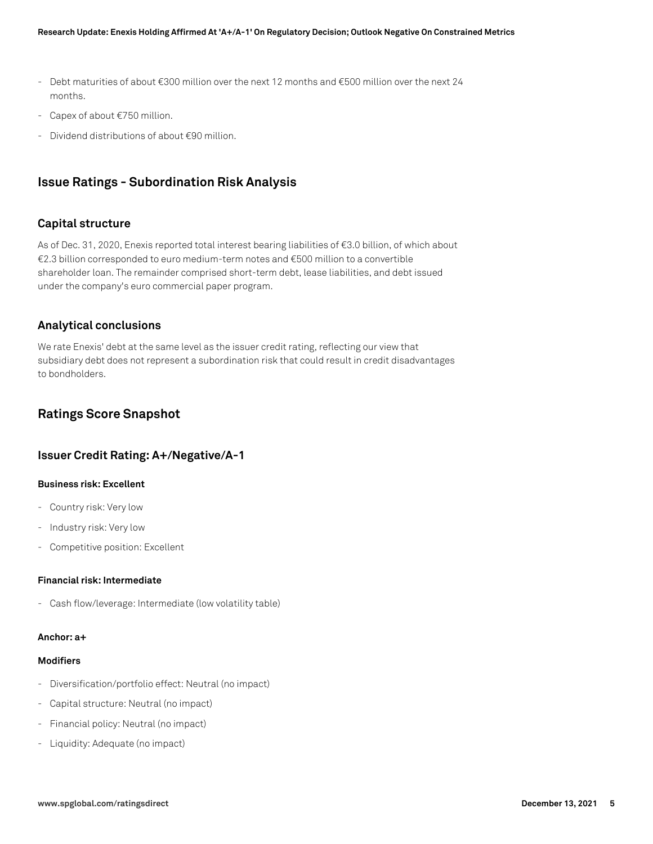- Debt maturities of about €300 million over the next 12 months and €500 million over the next 24 months.
- Capex of about €750 million.
- Dividend distributions of about €90 million.

# **Issue Ratings - Subordination Risk Analysis**

### **Capital structure**

As of Dec. 31, 2020, Enexis reported total interest bearing liabilities of €3.0 billion, of which about €2.3 billion corresponded to euro medium-term notes and €500 million to a convertible shareholder loan. The remainder comprised short-term debt, lease liabilities, and debt issued under the company's euro commercial paper program.

## **Analytical conclusions**

We rate Enexis' debt at the same level as the issuer credit rating, reflecting our view that subsidiary debt does not represent a subordination risk that could result in credit disadvantages to bondholders.

# **Ratings Score Snapshot**

### **Issuer Credit Rating: A+/Negative/A-1**

#### **Business risk: Excellent**

- Country risk: Very low
- Industry risk: Very low
- Competitive position: Excellent

#### **Financial risk: Intermediate**

- Cash flow/leverage: Intermediate (low volatility table)

#### **Anchor: a+**

#### **Modifiers**

- Diversification/portfolio effect: Neutral (no impact)
- Capital structure: Neutral (no impact)
- Financial policy: Neutral (no impact)
- Liquidity: Adequate (no impact)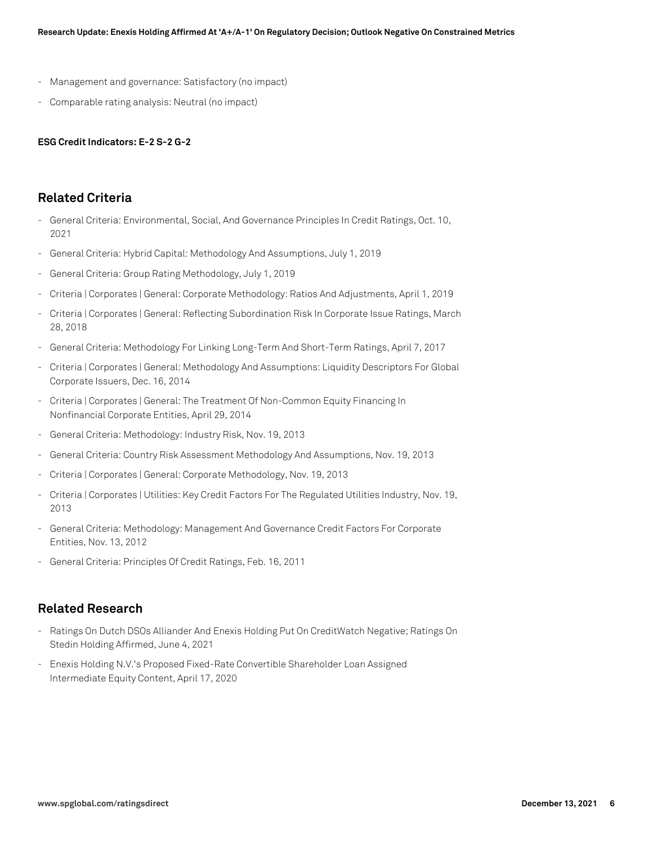- Management and governance: Satisfactory (no impact)
- Comparable rating analysis: Neutral (no impact)

#### **ESG Credit Indicators: E-2 S-2 G-2**

### **Related Criteria**

- General Criteria: Environmental, Social, And Governance Principles In Credit Ratings, Oct. 10, 2021
- General Criteria: Hybrid Capital: Methodology And Assumptions, July 1, 2019
- General Criteria: Group Rating Methodology, July 1, 2019
- Criteria | Corporates | General: Corporate Methodology: Ratios And Adjustments, April 1, 2019
- Criteria | Corporates | General: Reflecting Subordination Risk In Corporate Issue Ratings, March 28, 2018
- General Criteria: Methodology For Linking Long-Term And Short-Term Ratings, April 7, 2017
- Criteria | Corporates | General: Methodology And Assumptions: Liquidity Descriptors For Global Corporate Issuers, Dec. 16, 2014
- Criteria | Corporates | General: The Treatment Of Non-Common Equity Financing In Nonfinancial Corporate Entities, April 29, 2014
- General Criteria: Methodology: Industry Risk, Nov. 19, 2013
- General Criteria: Country Risk Assessment Methodology And Assumptions, Nov. 19, 2013
- Criteria | Corporates | General: Corporate Methodology, Nov. 19, 2013
- Criteria | Corporates | Utilities: Key Credit Factors For The Regulated Utilities Industry, Nov. 19, 2013
- General Criteria: Methodology: Management And Governance Credit Factors For Corporate Entities, Nov. 13, 2012
- General Criteria: Principles Of Credit Ratings, Feb. 16, 2011

### **Related Research**

- Ratings On Dutch DSOs Alliander And Enexis Holding Put On CreditWatch Negative; Ratings On Stedin Holding Affirmed, June 4, 2021
- Enexis Holding N.V.'s Proposed Fixed-Rate Convertible Shareholder Loan Assigned Intermediate Equity Content, April 17, 2020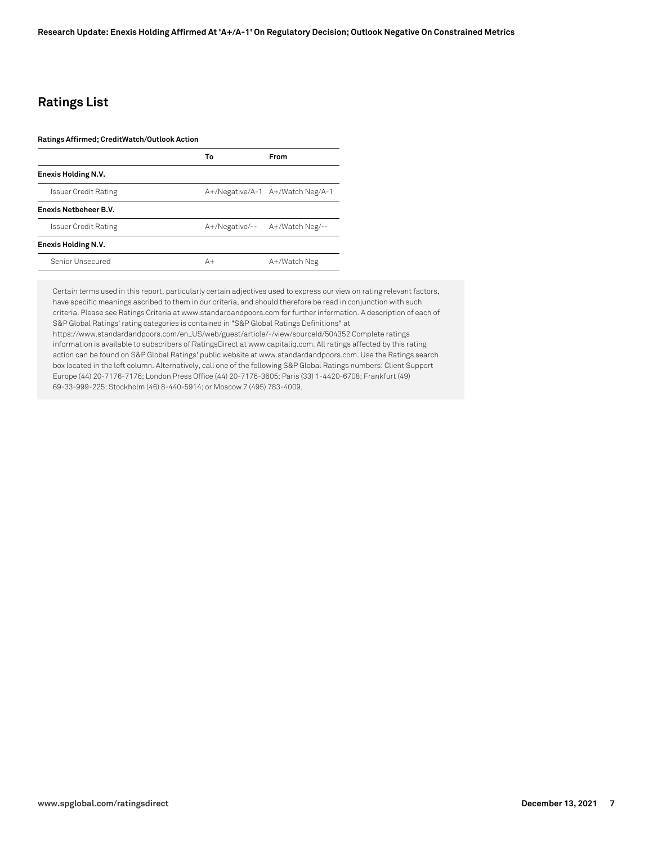# **Ratings List**

#### **Ratings Affirmed; CreditWatch/Outlook Action**

|                             | Т٥   | <b>From</b>                      |
|-----------------------------|------|----------------------------------|
| Enexis Holding N.V.         |      |                                  |
| Issuer Credit Rating        |      | A+/Negative/A-1 A+/Watch Neg/A-1 |
| Enexis Netbeheer B.V.       |      |                                  |
| <b>Issuer Credit Rating</b> |      | A+/Negative/-- A+/Watch Neg/--   |
| Enexis Holding N.V.         |      |                                  |
| Senior Unsecured            | $A+$ | A+/Watch Neg                     |

Certain terms used in this report, particularly certain adjectives used to express our view on rating relevant factors, have specific meanings ascribed to them in our criteria, and should therefore be read in conjunction with such criteria. Please see Ratings Criteria at www.standardandpoors.com for further information. A description of each of S&P Global Ratings' rating categories is contained in "S&P Global Ratings Definitions" at https://www.standardandpoors.com/en\_US/web/guest/article/-/view/sourceId/504352 Complete ratings information is available to subscribers of RatingsDirect at www.capitaliq.com. All ratings affected by this rating action can be found on S&P Global Ratings' public website at www.standardandpoors.com. Use the Ratings search box located in the left column. Alternatively, call one of the following S&P Global Ratings numbers: Client Support Europe (44) 20-7176-7176; London Press Office (44) 20-7176-3605; Paris (33) 1-4420-6708; Frankfurt (49) 69-33-999-225; Stockholm (46) 8-440-5914; or Moscow 7 (495) 783-4009.